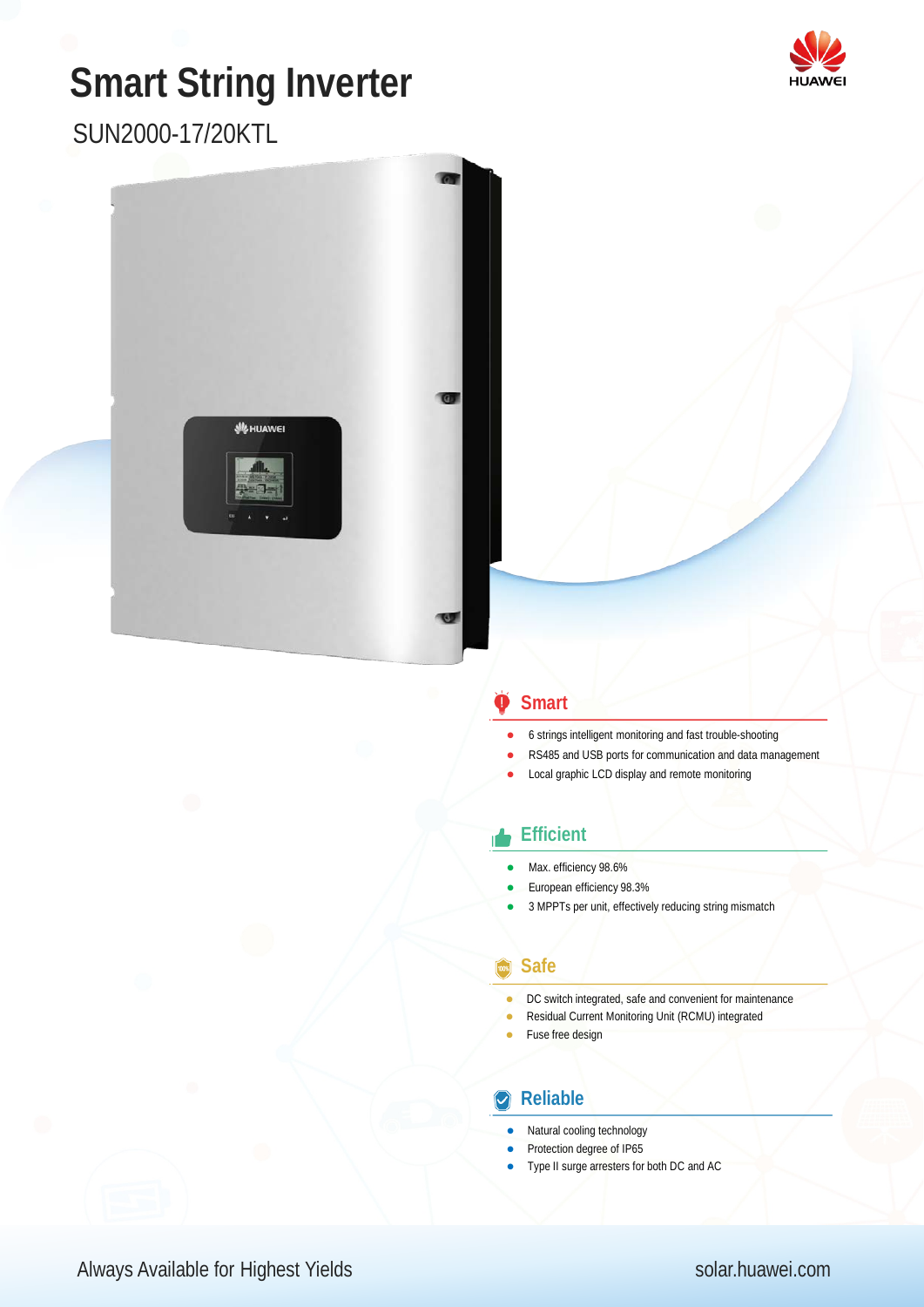# **Smart String Inverter**

SUN2000-17/20KTL



### **Smart**

- 6 strings intelligent monitoring and fast trouble-shooting
- RS485 and USB ports for communication and data management
- Local graphic LCD display and remote monitoring

#### **Efficient**

- Max. efficiency 98.6%
- European efficiency 98.3%
- 3 MPPTs per unit, effectively reducing string mismatch

#### **Safe**

- DC switch integrated, safe and convenient for maintenance
- Residual Current Monitoring Unit (RCMU) integrated
- Fuse free design

#### **Reliable**

- Natural cooling technology
- Protection degree of IP65
- Type II surge arresters for both DC and AC